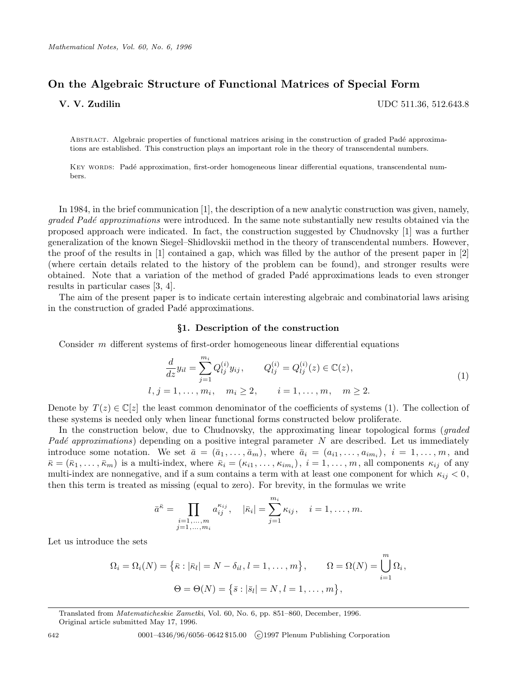# On the Algebraic Structure of Functional Matrices of Special Form

V. V. Zudilin UDC 511.36, 512.643.8

ABSTRACT. Algebraic properties of functional matrices arising in the construction of graded Padé approximations are established. This construction plays an important role in the theory of transcendental numbers.

KEY WORDS: Padé approximation, first-order homogeneous linear differential equations, transcendental numbers.

In 1984, in the brief communication [1], the description of a new analytic construction was given, namely, graded Padé approximations were introduced. In the same note substantially new results obtained via the proposed approach were indicated. In fact, the construction suggested by Chudnovsky [1] was a further generalization of the known Siegel–Shidlovskii method in the theory of transcendental numbers. However, the proof of the results in [1] contained a gap, which was filled by the author of the present paper in [2] (where certain details related to the history of the problem can be found), and stronger results were obtained. Note that a variation of the method of graded Padé approximations leads to even stronger results in particular cases [3, 4].

The aim of the present paper is to indicate certain interesting algebraic and combinatorial laws arising in the construction of graded Padé approximations.

#### §1. Description of the construction

Consider  $m$  different systems of first-order homogeneous linear differential equations

Xmi

$$
\frac{d}{dz}y_{il} = \sum_{j=1}^{m_i} Q_{lj}^{(i)}y_{ij}, \qquad Q_{lj}^{(i)} = Q_{lj}^{(i)}(z) \in \mathbb{C}(z),
$$
\n
$$
l, j = 1, \dots, m_i, \quad m_i \ge 2, \qquad i = 1, \dots, m, \quad m \ge 2.
$$
\n
$$
(1)
$$

Denote by  $T(z) \in \mathbb{C}[z]$  the least common denominator of the coefficients of systems (1). The collection of these systems is needed only when linear functional forms constructed below proliferate.

In the construction below, due to Chudnovsky, the approximating linear topological forms (*graded*) Padé approximations) depending on a positive integral parameter  $N$  are described. Let us immediately introduce some notation. We set  $\bar{a} = (\bar{a}_1, \ldots, \bar{a}_m)$ , where  $\bar{a}_i = (a_{i1}, \ldots, a_{im_i}), i = 1, \ldots, m$ , and  $\bar{\kappa} = (\bar{\kappa}_1, \ldots, \bar{\kappa}_m)$  is a multi-index, where  $\bar{\kappa}_i = (\kappa_{i1}, \ldots, \kappa_{im_i}), i = 1, \ldots, m$ , all components  $\kappa_{ij}$  of any multi-index are nonnegative, and if a sum contains a term with at least one component for which  $\kappa_{ij} < 0$ , then this term is treated as missing (equal to zero). For brevity, in the formulas we write

$$
\bar{a}^{\bar{\kappa}} = \prod_{\substack{i=1,\dots,m \\ j=1,\dots,m_i}} a_{ij}^{\kappa_{ij}}, \quad |\bar{\kappa}_i| = \sum_{j=1}^{m_i} \kappa_{ij}, \quad i = 1,\dots,m.
$$

Let us introduce the sets

$$
\Omega_i = \Omega_i(N) = \{ \bar{\kappa} : |\bar{\kappa}_l| = N - \delta_{il}, l = 1, ..., m \}, \qquad \Omega = \Omega(N) = \bigcup_{i=1}^m \Omega_i,
$$
  

$$
\Theta = \Theta(N) = \{ \bar{s} : |\bar{s}_l| = N, l = 1, ..., m \},
$$

Translated from Matematicheskie Zametki, Vol. 60, No. 6, pp. 851–860, December, 1996.

Original article submitted May 17, 1996.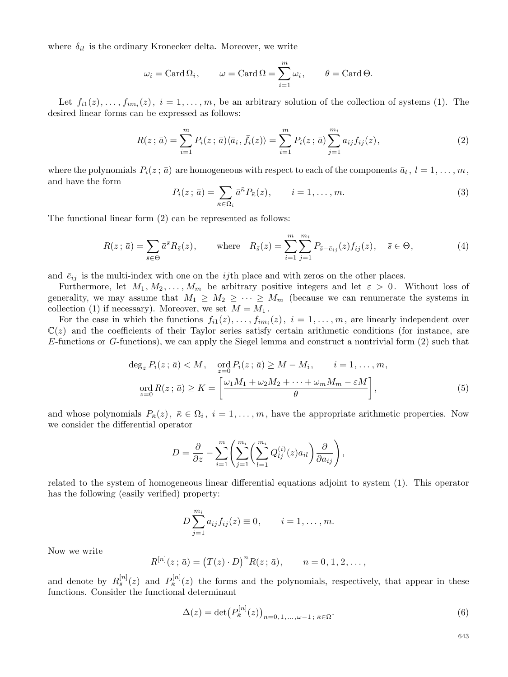where  $\delta_{il}$  is the ordinary Kronecker delta. Moreover, we write

$$
\omega_i = \text{Card }\Omega_i
$$
,  $\omega = \text{Card }\Omega = \sum_{i=1}^m \omega_i$ ,  $\theta = \text{Card }\Theta$ .

Let  $f_{i1}(z), \ldots, f_{im_i}(z), i = 1, \ldots, m$ , be an arbitrary solution of the collection of systems (1). The desired linear forms can be expressed as follows:

$$
R(z; \bar{a}) = \sum_{i=1}^{m} P_i(z; \bar{a}) \langle \bar{a}_i, \bar{f}_i(z) \rangle = \sum_{i=1}^{m} P_i(z; \bar{a}) \sum_{j=1}^{m_i} a_{ij} f_{ij}(z), \tag{2}
$$

where the polynomials  $P_i(z; \bar a)$  are homogeneous with respect to each of the components  $\bar a_l$  ,  $l = 1, \ldots, m$ , and have the form

$$
P_i(z; \bar{a}) = \sum_{\bar{\kappa} \in \Omega_i} \bar{a}^{\bar{\kappa}} P_{\bar{\kappa}}(z), \qquad i = 1, \dots, m.
$$
 (3)

The functional linear form (2) can be represented as follows:

$$
R(z; \bar{a}) = \sum_{\bar{s} \in \Theta} \bar{a}^{\bar{s}} R_{\bar{s}}(z), \quad \text{where} \quad R_{\bar{s}}(z) = \sum_{i=1}^{m} \sum_{j=1}^{m_i} P_{\bar{s} - \bar{e}_{ij}}(z) f_{ij}(z), \quad \bar{s} \in \Theta,
$$
 (4)

and  $\bar{e}_{ij}$  is the multi-index with one on the *ij*th place and with zeros on the other places.

Furthermore, let  $M_1, M_2, \ldots, M_m$  be arbitrary positive integers and let  $\varepsilon > 0$ . Without loss of generality, we may assume that  $M_1 \geq M_2 \geq \cdots \geq M_m$  (because we can renumerate the systems in collection (1) if necessary). Moreover, we set  $M = M_1$ .

For the case in which the functions  $f_{i1}(z), \ldots, f_{im_i}(z), i = 1, \ldots, m$ , are linearly independent over  $\mathbb{C}(z)$  and the coefficients of their Taylor series satisfy certain arithmetic conditions (for instance, are E-functions or G-functions), we can apply the Siegel lemma and construct a nontrivial form (2) such that

$$
\deg_z P_i(z; \bar{a}) < M, \quad \operatorname{ord}_{z=0} P_i(z; \bar{a}) \ge M - M_i, \quad i = 1, \dots, m,
$$
\n
$$
\operatorname{ord}_{z=0} R(z; \bar{a}) \ge K = \left[ \frac{\omega_1 M_1 + \omega_2 M_2 + \dots + \omega_m M_m - \varepsilon M}{\theta} \right],\tag{5}
$$

and whose polynomials  $P_{\overline{\kappa}}(z)$ ,  $\overline{\kappa} \in \Omega_i$ ,  $i = 1, \ldots, m$ , have the appropriate arithmetic properties. Now we consider the differential operator

$$
D = \frac{\partial}{\partial z} - \sum_{i=1}^{m} \left( \sum_{j=1}^{m_i} \left( \sum_{l=1}^{m_i} Q_{lj}^{(i)}(z) a_{il} \right) \frac{\partial}{\partial a_{ij}} \right),
$$

related to the system of homogeneous linear differential equations adjoint to system (1). This operator has the following (easily verified) property:

$$
D \sum_{j=1}^{m_i} a_{ij} f_{ij}(z) \equiv 0, \qquad i = 1, ..., m.
$$

Now we write

$$
R^{[n]}(z; \bar{a}) = (T(z) \cdot D)^n R(z; \bar{a}), \qquad n = 0, 1, 2, \dots,
$$

and denote by  $R_{\bar{s}}^{[n]}$  $\frac{[n]}{\bar{s}}(z)$  and  $P_{\bar{\kappa}}^{[n]}$  $\bar{\kappa}^{[n]}(z)$  the forms and the polynomials, respectively, that appear in these functions. Consider the functional determinant

$$
\Delta(z) = \det \left( P_{\bar{\kappa}}^{[n]}(z) \right)_{n=0,1,\ldots,\omega-1\,;\,\bar{\kappa} \in \Omega}.
$$
\n
$$
(6)
$$

643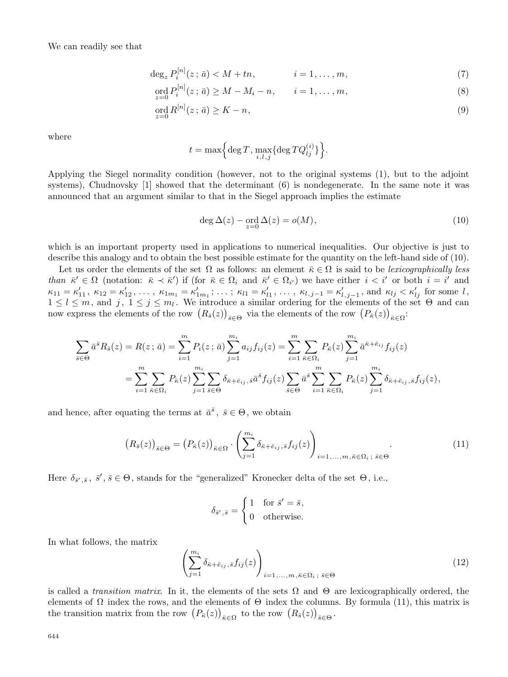We can readily see that

$$
\deg_z P_i^{|n|}(z;\,\bar{a}) < M + tn, \qquad i = 1, \ldots, m,\tag{7}
$$

$$
\operatorname{ord}_{z=0} P_i^{[n]}(z; \bar{a}) \ge M - M_i - n, \qquad i = 1, \dots, m,
$$
\n(8)

$$
\operatorname{ord}_{z=0} R^{[n]}(z \, ; \, \bar{a}) \ge K - n,\tag{9}
$$

where

$$
t = \max\Bigl\{\deg T, \max_{i,l,j}\{\deg TQ_{lj}^{(i)}\}\Bigr\}.
$$

Applying the Siegel normality condition (however, not to the original systems (1), but to the adjoint systems), Chudnovsky [1] showed that the determinant (6) is nondegenerate. In the same note it was announced that an argument similar to that in the Siegel approach implies the estimate

$$
\deg \Delta(z) - \operatorname{ord}_{z=0} \Delta(z) = o(M),\tag{10}
$$

which is an important property used in applications to numerical inequalities. Our objective is just to describe this analogy and to obtain the best possible estimate for the quantity on the left-hand side of (10).

Let us order the elements of the set  $\Omega$  as follows: an element  $\bar{\kappa} \in \Omega$  is said to be lexicographically less than  $\bar{\kappa}' \in \Omega$  (notation:  $\bar{\kappa} \prec \bar{\kappa}'$ ) if (for  $\bar{\kappa} \in \Omega_i$  and  $\bar{\kappa}' \in \Omega_{i'}$ ) we have either  $i < i'$  or both  $i = i'$  and  $\kappa_{11} = \kappa'_{11}, \ \kappa_{12} = \kappa'_{12}, \ \ldots, \ \kappa_{1m_1} = \kappa'_{1}$  $t'_{1m_1}; \ldots; \kappa_{l1} = \kappa'_{l}$  $\kappa_{l,j-1}$ ,  $\kappa_{l,j-1} = \kappa'_{l,j-1}$ , and  $\kappa_{lj} < \kappa'_{lj}$  for some l,  $1 \leq l \leq m$ , and  $j, 1 \leq j \leq m_l$ . We introduce a similar ordering for the elements of the set  $\Theta$  and can now express the elements of the row  $(R_{\bar{s}}(z))_{\bar{s}\in\Theta}$  via the elements of the row  $(P_{\bar{\kappa}}(z))_{\bar{\kappa}\in\Omega}$ :

$$
\sum_{\bar{s}\in\Theta} \bar{a}^{\bar{s}} R_{\bar{s}}(z) = R(z;\bar{a}) = \sum_{i=1}^{m} P_i(z;\bar{a}) \sum_{j=1}^{m_i} a_{ij} f_{ij}(z) = \sum_{i=1}^{m} \sum_{\bar{\kappa}\in\Omega_i} P_{\bar{\kappa}}(z) \sum_{j=1}^{m_i} \bar{a}^{\bar{\kappa}+\bar{e}_{ij}} f_{ij}(z)
$$

$$
= \sum_{i=1}^{m} \sum_{\bar{\kappa}\in\Omega_i} P_{\bar{\kappa}}(z) \sum_{j=1}^{m_i} \sum_{\bar{s}\in\Theta} \delta_{\bar{\kappa}+\bar{e}_{ij},\bar{s}} \bar{a}^{\bar{s}} f_{ij}(z) \sum_{\bar{s}\in\Theta} \bar{a}^{\bar{s}} \sum_{i=1}^{m} \sum_{\bar{\kappa}\in\Omega_i} P_{\bar{\kappa}}(z) \sum_{j=1}^{m_i} \delta_{\bar{\kappa}+\bar{e}_{ij},\bar{s}} f_{ij}(z),
$$

and hence, after equating the terms at  $\bar{a}^{\bar{s}}$ ,  $\bar{s} \in \Theta$ , we obtain

$$
\left(R_{\bar{s}}(z)\right)_{\bar{s}\in\Theta} = \left(P_{\bar{\kappa}}(z)\right)_{\bar{\kappa}\in\Omega} \cdot \left(\sum_{j=1}^{m_i} \delta_{\bar{\kappa}+\bar{e}_{ij},\bar{s}} f_{ij}(z)\right)_{i=1,\ldots,m,\bar{\kappa}\in\Omega_i;\ \bar{s}\in\Theta}.
$$
\n(11)

Here  $\delta_{\bar{s}',\bar{s}}$ ,  $\bar{s}', \bar{s} \in \Theta$ , stands for the "generalized" Kronecker delta of the set  $\Theta$ , i.e.,

$$
\delta_{\bar{s}',\bar{s}} = \begin{cases} 1 & \text{for } \bar{s}' = \bar{s}, \\ 0 & \text{otherwise.} \end{cases}
$$

In what follows, the matrix

$$
\left(\sum_{j=1}^{m_i} \delta_{\bar{\kappa} + \bar{e}_{ij}, \bar{s}} f_{ij}(z)\right)_{i=1,\dots,m, \bar{\kappa} \in \Omega_i; \ \bar{s} \in \Theta}
$$
\n(12)

is called a *transition matrix*. In it, the elements of the sets  $\Omega$  and  $\Theta$  are lexicographically ordered, the elements of  $\Omega$  index the rows, and the elements of  $\Theta$  index the columns. By formula (11), this matrix is the transition matrix from the row  $(P_{\bar{\kappa}}(z))_{\bar{\kappa}\in\Omega}$  to the row  $(R_{\bar{s}}(z))_{\bar{s}\in\Theta}$ .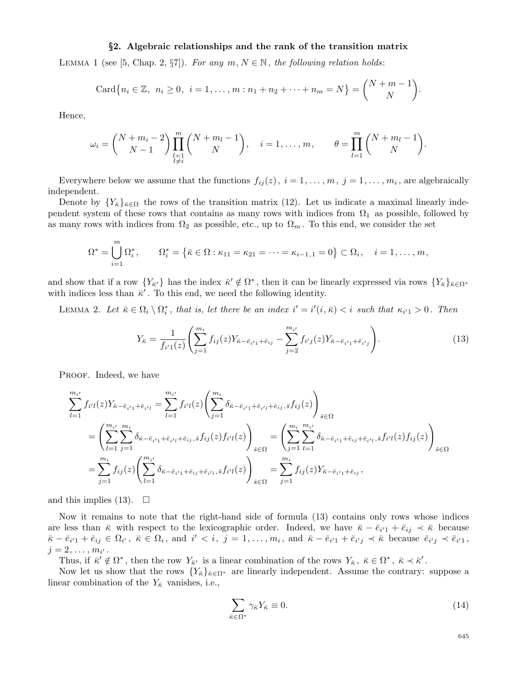#### §2. Algebraic relationships and the rank of the transition matrix

LEMMA 1 (see [5, Chap. 2,  $\S7$ ). For any  $m, N \in \mathbb{N}$ , the following relation holds:

Card
$$
\{n_i \in \mathbb{Z}, n_i \geq 0, i = 1, ..., m : n_1 + n_2 + \cdots + n_m = N\} = \binom{N+m-1}{N}
$$
.

Hence,

$$
\omega_i = \binom{N+m_i-2}{N-1} \prod_{\substack{l=1 \ l \neq i}}^m \binom{N+m_l-1}{N}, \quad i = 1, \ldots, m, \qquad \theta = \prod_{l=1}^m \binom{N+m_l-1}{N}.
$$

Everywhere below we assume that the functions  $f_{ij}(z)$ ,  $i = 1, \ldots, m, j = 1, \ldots, m_i$ , are algebraically independent.

Denote by  $\{Y_{\bar{\kappa}}\}_{\bar{\kappa}\in\Omega}$  the rows of the transition matrix (12). Let us indicate a maximal linearly independent system of these rows that contains as many rows with indices from  $\Omega_1$  as possible, followed by as many rows with indices from  $\Omega_2$  as possible, etc., up to  $\Omega_m$ . To this end, we consider the set

$$
\Omega^* = \bigcup_{i=1}^m \Omega_i^*, \qquad \Omega_i^* = \left\{ \bar{\kappa} \in \Omega : \kappa_{11} = \kappa_{21} = \dots = \kappa_{i-1,1} = 0 \right\} \subset \Omega_i, \quad i = 1, \dots, m,
$$

and show that if a row  ${Y_{\bar{\kappa}}\}$  has the index  $\bar{\kappa}' \notin \Omega^*$ , then it can be linearly expressed via rows  ${Y_{\bar{\kappa}}\}_{\bar{\kappa}\in\Omega^*}$ with indices less than  $\bar{\kappa}$ . To this end, we need the following identity.

LEMMA 2. Let  $\bar{\kappa} \in \Omega_i \setminus \Omega_i^*$  $i$ , that is, let there be an index  $i' = i'(i, \bar{\kappa}) < i$  such that  $\kappa_{i'1} > 0$ . Then

$$
Y_{\bar{\kappa}} = \frac{1}{f_{i'1}(z)} \left( \sum_{j=1}^{m_i} f_{ij}(z) Y_{\bar{\kappa} - \bar{e}_{i'1} + \bar{e}_{ij}} - \sum_{j=2}^{m_{i'}} f_{i'j}(z) Y_{\bar{\kappa} - \bar{e}_{i'1} + \bar{e}_{i'j}} \right).
$$
(13)

PROOF. Indeed, we have

$$
\sum_{l=1}^{m_{i'}} f_{i'l}(z) Y_{\bar{\kappa} - \bar{e}_{i'1} + \bar{e}_{i'l}} = \sum_{l=1}^{m_{i'}} f_{i'l}(z) \left( \sum_{j=1}^{m_i} \delta_{\bar{\kappa} - \bar{e}_{i'1} + \bar{e}_{i'l} + \bar{e}_{ij}, \bar{s}} f_{ij}(z) \right)_{\bar{s} \in \Omega}
$$
\n
$$
= \left( \sum_{l=1}^{m_{i'}} \sum_{j=1}^{m_i} \delta_{\bar{\kappa} - \bar{e}_{i'1} + \bar{e}_{i'l} + \bar{e}_{ij}, \bar{s}} f_{ij}(z) f_{i'l}(z) \right)_{\bar{s} \in \Omega} = \left( \sum_{j=1}^{m_i} \sum_{l=1}^{m_{i'}} \delta_{\bar{\kappa} - \bar{e}_{i'1} + \bar{e}_{i'1}, \bar{s}} f_{i'l}(z) f_{ij}(z) \right)_{\bar{s} \in \Omega}
$$
\n
$$
= \sum_{j=1}^{m_i} f_{ij}(z) \left( \sum_{l=1}^{m_{i'}} \delta_{\bar{\kappa} - \bar{e}_{i'1} + \bar{e}_{i'1}, \bar{s}} f_{i'l}(z) \right)_{\bar{s} \in \Omega} = \sum_{j=1}^{m_i} f_{ij}(z) Y_{\bar{\kappa} - \bar{e}_{i'1} + \bar{e}_{i'1}},
$$

and this implies (13).  $\Box$ 

Now it remains to note that the right-hand side of formula (13) contains only rows whose indices are less than  $\bar{\kappa}$  with respect to the lexicographic order. Indeed, we have  $\bar{\kappa} - \bar{e}_{i'1} + \bar{e}_{ij} \prec \bar{\kappa}$  because  $\overline{\kappa}-\overline{e}_{i'1}+\overline{e}_{ij}\in\Omega_i$ ,  $\overline{\kappa}\in\Omega_i$ , and  $i' < i$ ,  $j=1,\ldots,m_i$ , and  $\overline{\kappa}-\overline{e}_{i'1}+\overline{e}_{i'j} \prec \overline{\kappa}$  because  $\overline{e}_{i'j} \prec \overline{e}_{i'1}$ ,  $j = 2, \ldots, m_{i'}$  .

Thus, if  $\bar{\kappa}' \notin \Omega^*$ , then the row  $Y_{\bar{\kappa}'}$  is a linear combination of the rows  $Y_{\bar{\kappa}}$ ,  $\bar{\kappa} \in \Omega^*$ ,  $\bar{\kappa} \prec \bar{\kappa}'$ .

Now let us show that the rows  ${Y_{\bar{\kappa}}}_{\bar{\kappa}\in\Omega^*}$  are linearly independent. Assume the contrary: suppose a linear combination of the  $Y_{\overline{\kappa}}$  vanishes, i.e.,

$$
\sum_{\bar{\kappa}\in\Omega^*} \gamma_{\bar{\kappa}} Y_{\bar{\kappa}} \equiv 0. \tag{14}
$$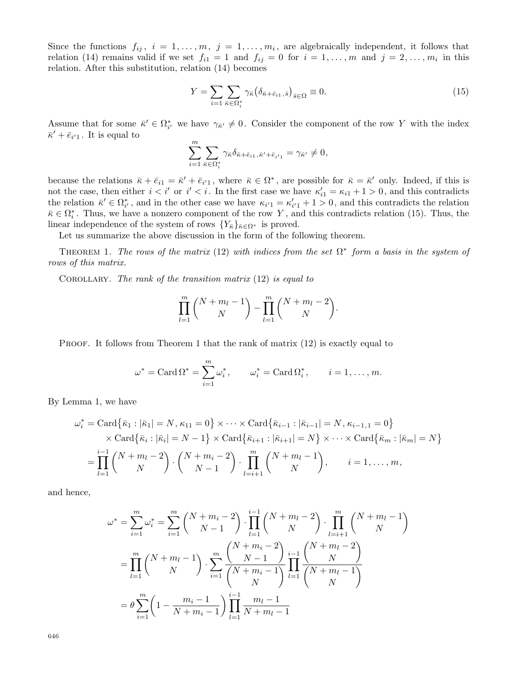Since the functions  $f_{ij}, i = 1, \ldots, m, j = 1, \ldots, m_i$ , are algebraically independent, it follows that relation (14) remains valid if we set  $f_{i1} = 1$  and  $f_{ij} = 0$  for  $i = 1, \ldots, m$  and  $j = 2, \ldots, m_i$  in this relation. After this substitution, relation (14) becomes

$$
Y = \sum_{i=1}^{\infty} \sum_{\bar{\kappa} \in \Omega_i^*} \gamma_{\bar{\kappa}} \left( \delta_{\bar{\kappa} + \bar{e}_{i1}, \bar{s}} \right)_{\bar{s} \in \Omega} \equiv 0. \tag{15}
$$

Assume that for some  $\bar{\kappa}' \in \Omega_i^*$ \* we have  $\gamma_{\bar{\kappa}'} \neq 0$ . Consider the component of the row Y with the index  $\bar{\kappa}' + \bar{e}_{i'1}$ . It is equal to

$$
\sum_{i=1}^m \sum_{\bar{\kappa} \in \Omega_i^*} \gamma_{\bar{\kappa}} \delta_{\bar{\kappa} + \bar{e}_{i1}, \bar{\kappa}' + \bar{e}_{i'1}} = \gamma_{\bar{\kappa}'} \neq 0,
$$

because the relations  $\bar{\kappa} + \bar{e}_{i1} = \bar{\kappa}' + \bar{e}_{i'1}$ , where  $\bar{\kappa} \in \Omega^*$ , are possible for  $\bar{\kappa} = \bar{\kappa}'$  only. Indeed, if this is not the case, then either  $i < i'$  or  $i' < i$ . In the first case we have  $\kappa'_{i1} = \kappa_{i1} + 1 > 0$ , and this contradicts the relation  $\bar{\kappa}' \in \Omega_{i'}^*$  $i'$ , and in the other case we have  $\kappa_{i'1} = \kappa'_i$  $i_{i'1} + 1 > 0$ , and this contradicts the relation  $\bar{\kappa} \in \Omega_i^*$  $i$ . Thus, we have a nonzero component of the row Y, and this contradicts relation (15). Thus, the linear independence of the system of rows  ${Y_{\bar{\kappa}}}_{\bar{\kappa}\in\Omega^*}$  is proved.

Let us summarize the above discussion in the form of the following theorem.

THEOREM 1. The rows of the matrix (12) with indices from the set  $\Omega^*$  form a basis in the system of rows of this matrix.

COROLLARY. The rank of the transition matrix  $(12)$  is equal to

$$
\prod_{l=1}^m {N+m_l-1 \choose N} - \prod_{l=1}^m {N+m_l-2 \choose N}.
$$

PROOF. It follows from Theorem 1 that the rank of matrix (12) is exactly equal to

$$
\omega^* = \text{Card }\Omega^* = \sum_{i=1}^m \omega_i^*, \qquad \omega_i^* = \text{Card }\Omega_i^*, \qquad i = 1, \dots, m.
$$

By Lemma 1, we have

$$
\omega_i^* = \text{Card}\{\bar{\kappa}_1 : |\bar{\kappa}_1| = N, \kappa_{11} = 0\} \times \cdots \times \text{Card}\{\bar{\kappa}_{i-1} : |\bar{\kappa}_{i-1}| = N, \kappa_{i-1,1} = 0\} \times \text{Card}\{\bar{\kappa}_i : |\bar{\kappa}_i| = N - 1\} \times \text{Card}\{\bar{\kappa}_{i+1} : |\bar{\kappa}_{i+1}| = N\} \times \cdots \times \text{Card}\{\bar{\kappa}_m : |\bar{\kappa}_m| = N\} = \prod_{l=1}^{i-1} {N + m_l - 2 \choose N} \cdot {N + m_i - 2 \choose N - 1} \cdot \prod_{l=i+1}^{m} {N + m_l - 1 \choose N}, \quad i = 1, ..., m,
$$

and hence,

$$
\omega^* = \sum_{i=1}^m \omega_i^* = \sum_{i=1}^m {N + m_i - 2 \choose N - 1} \cdot \prod_{l=1}^{i-1} {N + m_l - 2 \choose N} \cdot \prod_{l=i+1}^m {N + m_l - 1 \choose N}
$$
  
= 
$$
\prod_{l=1}^m {N + m_l - 1 \choose N} \cdot \sum_{i=1}^m \frac{{N + m_i - 2 \choose N - 1}}{{N + m_i - 1 \choose N}} \prod_{l=1}^{i-1} \frac{{N + m_l - 2 \choose N}}{{N + m_l - 1 \choose N}}
$$
  
= 
$$
\theta \sum_{i=1}^m \left(1 - \frac{m_i - 1}{N + m_i - 1}\right) \prod_{l=1}^{i-1} \frac{m_l - 1}{N + m_l - 1}
$$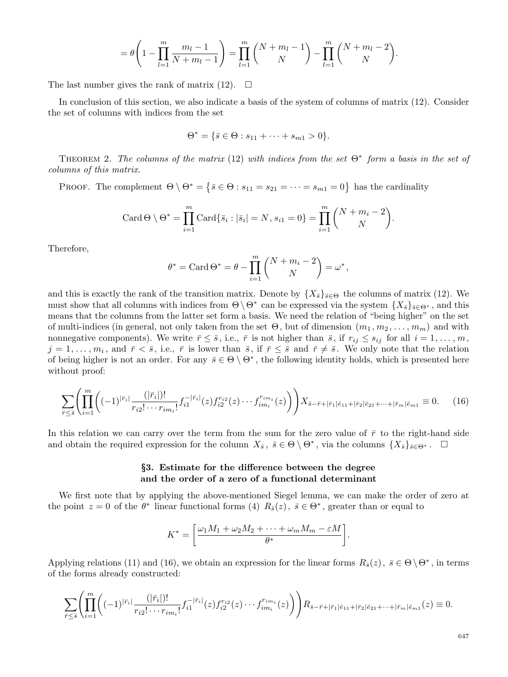$$
= \theta \left( 1 - \prod_{l=1}^{m} \frac{m_l - 1}{N + m_l - 1} \right) = \prod_{l=1}^{m} {N + m_l - 1 \choose N} - \prod_{l=1}^{m} {N + m_l - 2 \choose N}.
$$

The last number gives the rank of matrix (12).  $\Box$ 

In conclusion of this section, we also indicate a basis of the system of columns of matrix (12). Consider the set of columns with indices from the set

$$
\Theta^* = \{ \bar{s} \in \Theta : s_{11} + \dots + s_{m1} > 0 \}.
$$

THEOREM 2. The columns of the matrix (12) with indices from the set  $\Theta^*$  form a basis in the set of columns of this matrix.

PROOF. The complement  $\Theta \setminus \Theta^* = \{ \bar{s} \in \Theta : s_{11} = s_{21} = \cdots = s_{m1} = 0 \}$  has the cardinality

Card 
$$
\Theta \setminus \Theta^* = \prod_{i=1}^m \text{Card}\{\bar{s}_i : |\bar{s}_i| = N, s_{i1} = 0\} = \prod_{i=1}^m {N + m_i - 2 \choose N}.
$$

Therefore,

$$
\theta^* = \text{Card }\Theta^* = \theta - \prod_{i=1}^m \binom{N+m_i-2}{N} = \omega^*,
$$

and this is exactly the rank of the transition matrix. Denote by  $\{X_{\bar{s}}\}_{\bar{s}\in\Theta}$  the columns of matrix (12). We must show that all columns with indices from  $\Theta \setminus \Theta^*$  can be expressed via the system  $\{X_{\bar{s}}\}_{\bar{s}\in\Theta^*}$ , and this means that the columns from the latter set form a basis. We need the relation of "being higher" on the set of multi-indices (in general, not only taken from the set  $\Theta$ , but of dimension  $(m_1, m_2, \ldots, m_m)$  and with nonnegative components). We write  $\bar{r} \leq \bar{s}$ , i.e.,  $\bar{r}$  is not higher than  $\bar{s}$ , if  $r_{ij} \leq s_{ij}$  for all  $i = 1, \ldots, m$ ,  $j=1,\ldots,m_i$ , and  $\bar{r} < \bar{s}$ , i.e.,  $\bar{r}$  is lower than  $\bar{s}$ , if  $\bar{r} \leq \bar{s}$  and  $\bar{r} \neq \bar{s}$ . We only note that the relation of being higher is not an order. For any  $\bar{s} \in \Theta \setminus \Theta^*$ , the following identity holds, which is presented here without proof:

$$
\sum_{\bar{r}\leq \bar{s}} \left( \prod_{i=1}^{m} \left( (-1)^{|\bar{r}_i|} \frac{(|\bar{r}_i|)!}{r_{i2}! \cdots r_{im_i}!} f_{i1}^{-|\bar{r}_i|}(z) f_{i2}^{r_{i2}}(z) \cdots f_{im_i}^{r_{im_i}}(z) \right) \right) X_{\bar{s}-\bar{r}+|\bar{r}_1|\bar{e}_{11}+|\bar{r}_2|\bar{e}_{21}+\cdots+|\bar{r}_m|\bar{e}_{m1}} \equiv 0. \tag{16}
$$

In this relation we can carry over the term from the sum for the zero value of  $\bar{r}$  to the right-hand side and obtain the required expression for the column  $X_{\bar{s}}$ ,  $\bar{s} \in \Theta \setminus \Theta^*$ , via the columns  $\{X_{\bar{s}}\}_{\bar{s} \in \Theta^*}$ .  $\square$ 

## §3. Estimate for the difference between the degree and the order of a zero of a functional determinant

We first note that by applying the above-mentioned Siegel lemma, we can make the order of zero at the point  $z = 0$  of the  $\theta^*$  linear functional forms (4)  $R_{\bar{s}}(z)$ ,  $\bar{s} \in \Theta^*$ , greater than or equal to

$$
K^* = \left[ \frac{\omega_1 M_1 + \omega_2 M_2 + \dots + \omega_m M_m - \varepsilon M}{\theta^*} \right].
$$

Applying relations (11) and (16), we obtain an expression for the linear forms  $R_{\bar{s}}(z)$ ,  $\bar{s} \in \Theta \backslash \Theta^*$ , in terms of the forms already constructed:

$$
\sum_{\bar{r}\leq \bar{s}}\left(\prod_{i=1}^{m}\left((-1)^{|\bar{r}_i|}\frac{(|\bar{r}_i|)!}{r_{i2}!\cdots r_{im_i}!}f_{i1}^{-|\bar{r}_i|}(z)f_{i2}^{r_{i2}}(z)\cdots f_{im_i}^{r_{im_i}}(z)\right)\right)R_{\bar{s}-\bar{r}+|\bar{r}_1|\bar{e}_{11}+|\bar{r}_2|\bar{e}_{21}+\cdots+|\bar{r}_m|\bar{e}_{m1}}(z)\equiv 0.
$$